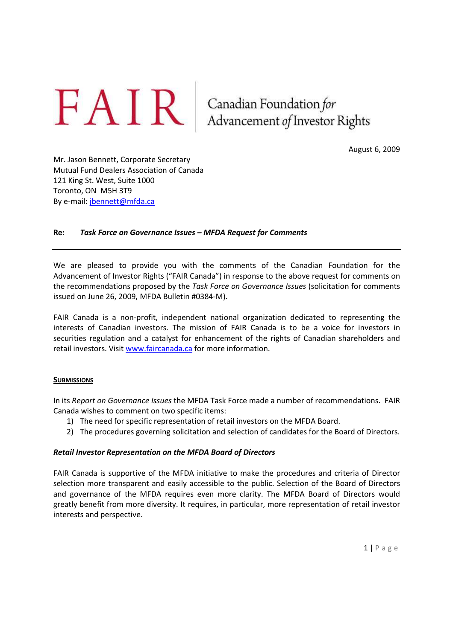$FAN$ R Canadian Foundation for<br>Advancement of Investor Rights

August 6, 2009

Mr. Jason Bennett, Corporate Secretary Mutual Fund Dealers Association of Canada 121 King St. West, Suite 1000 Toronto, ON M5H 3T9 By e-mail: jbennett@mfda.ca

## **Re:** *Task Force on Governance Issues – MFDA Request for Comments*

We are pleased to provide you with the comments of the Canadian Foundation for the Advancement of Investor Rights ("FAIR Canada") in response to the above request for comments on the recommendations proposed by the *Task Force on Governance Issues* (solicitation for comments issued on June 26, 2009, MFDA Bulletin #0384-M).

FAIR Canada is a non-profit, independent national organization dedicated to representing the interests of Canadian investors. The mission of FAIR Canada is to be a voice for investors in securities regulation and a catalyst for enhancement of the rights of Canadian shareholders and retail investors. Visit www.faircanada.ca for more information.

#### **SUBMISSIONS**

In its *Report on Governance Issues* the MFDA Task Force made a number of recommendations. FAIR Canada wishes to comment on two specific items:

- 1) The need for specific representation of retail investors on the MFDA Board.
- 2) The procedures governing solicitation and selection of candidates for the Board of Directors.

#### *Retail Investor Representation on the MFDA Board of Directors*

FAIR Canada is supportive of the MFDA initiative to make the procedures and criteria of Director selection more transparent and easily accessible to the public. Selection of the Board of Directors and governance of the MFDA requires even more clarity. The MFDA Board of Directors would greatly benefit from more diversity. It requires, in particular, more representation of retail investor interests and perspective.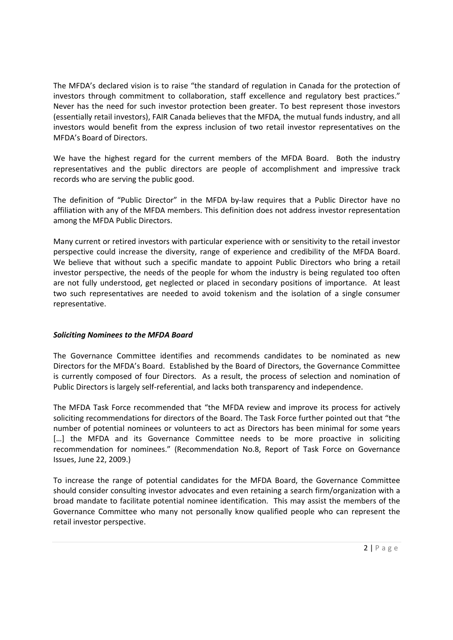The MFDA's declared vision is to raise "the standard of regulation in Canada for the protection of investors through commitment to collaboration, staff excellence and regulatory best practices." Never has the need for such investor protection been greater. To best represent those investors (essentially retail investors), FAIR Canada believes that the MFDA, the mutual funds industry, and all investors would benefit from the express inclusion of two retail investor representatives on the MFDA's Board of Directors.

We have the highest regard for the current members of the MFDA Board. Both the industry representatives and the public directors are people of accomplishment and impressive track records who are serving the public good.

The definition of "Public Director" in the MFDA by-law requires that a Public Director have no affiliation with any of the MFDA members. This definition does not address investor representation among the MFDA Public Directors.

Many current or retired investors with particular experience with or sensitivity to the retail investor perspective could increase the diversity, range of experience and credibility of the MFDA Board. We believe that without such a specific mandate to appoint Public Directors who bring a retail investor perspective, the needs of the people for whom the industry is being regulated too often are not fully understood, get neglected or placed in secondary positions of importance. At least two such representatives are needed to avoid tokenism and the isolation of a single consumer representative.

# *Soliciting Nominees to the MFDA Board*

The Governance Committee identifies and recommends candidates to be nominated as new Directors for the MFDA's Board. Established by the Board of Directors, the Governance Committee is currently composed of four Directors. As a result, the process of selection and nomination of Public Directors is largely self-referential, and lacks both transparency and independence.

The MFDA Task Force recommended that "the MFDA review and improve its process for actively soliciting recommendations for directors of the Board. The Task Force further pointed out that "the number of potential nominees or volunteers to act as Directors has been minimal for some years [...] the MFDA and its Governance Committee needs to be more proactive in soliciting recommendation for nominees." (Recommendation No.8, Report of Task Force on Governance Issues, June 22, 2009.)

To increase the range of potential candidates for the MFDA Board, the Governance Committee should consider consulting investor advocates and even retaining a search firm/organization with a broad mandate to facilitate potential nominee identification. This may assist the members of the Governance Committee who many not personally know qualified people who can represent the retail investor perspective.